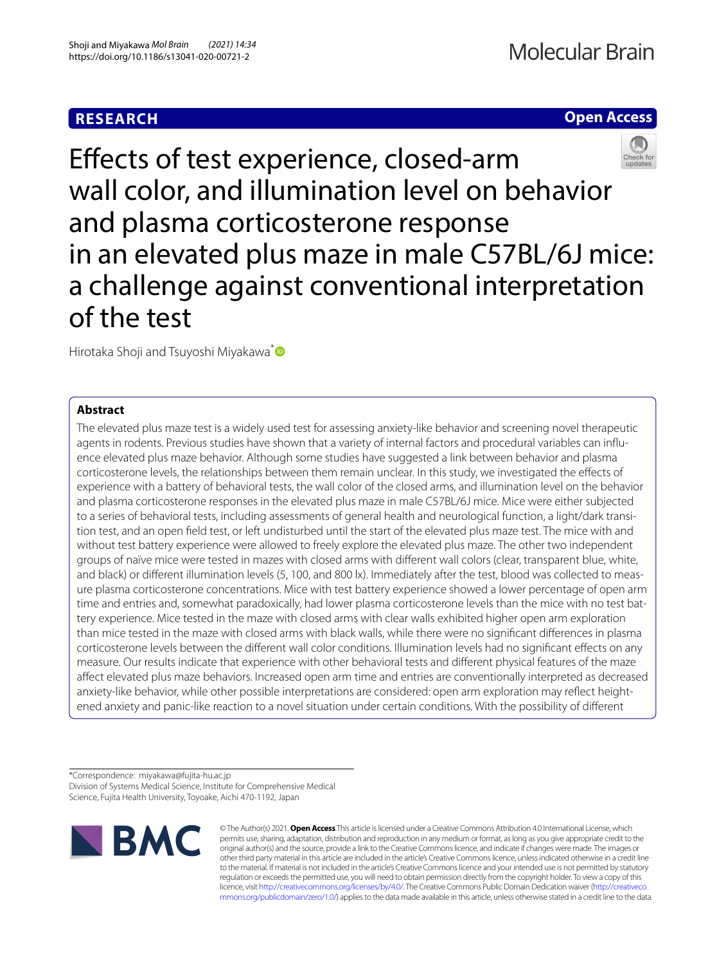# **RESEARCH**

# **Open Access**



Efects of test experience, closed-arm wall color, and illumination level on behavior and plasma corticosterone response in an elevated plus maze in male C57BL/6J mice: a challenge against conventional interpretation of the test

Hirotaka Shoji and Tsuyoshi Miyakawa<sup>[\\*](http://orcid.org/0000-0003-0137-8200)</sup>

# **Abstract**

The elevated plus maze test is a widely used test for assessing anxiety-like behavior and screening novel therapeutic agents in rodents. Previous studies have shown that a variety of internal factors and procedural variables can infuence elevated plus maze behavior. Although some studies have suggested a link between behavior and plasma corticosterone levels, the relationships between them remain unclear. In this study, we investigated the efects of experience with a battery of behavioral tests, the wall color of the closed arms, and illumination level on the behavior and plasma corticosterone responses in the elevated plus maze in male C57BL/6J mice. Mice were either subjected to a series of behavioral tests, including assessments of general health and neurological function, a light/dark transition test, and an open feld test, or left undisturbed until the start of the elevated plus maze test. The mice with and without test battery experience were allowed to freely explore the elevated plus maze. The other two independent groups of naïve mice were tested in mazes with closed arms with diferent wall colors (clear, transparent blue, white, and black) or different illumination levels (5, 100, and 800 lx). Immediately after the test, blood was collected to measure plasma corticosterone concentrations. Mice with test battery experience showed a lower percentage of open arm time and entries and, somewhat paradoxically, had lower plasma corticosterone levels than the mice with no test battery experience. Mice tested in the maze with closed arms with clear walls exhibited higher open arm exploration than mice tested in the maze with closed arms with black walls, while there were no signifcant diferences in plasma corticosterone levels between the diferent wall color conditions. Illumination levels had no signifcant efects on any measure. Our results indicate that experience with other behavioral tests and diferent physical features of the maze afect elevated plus maze behaviors. Increased open arm time and entries are conventionally interpreted as decreased anxiety-like behavior, while other possible interpretations are considered: open arm exploration may refect heightened anxiety and panic-like reaction to a novel situation under certain conditions. With the possibility of diferent

\*Correspondence: miyakawa@fujita-hu.ac.jp Division of Systems Medical Science, Institute for Comprehensive Medical Science, Fujita Health University, Toyoake, Aichi 470-1192, Japan



© The Author(s) 2021. **Open Access** This article is licensed under a Creative Commons Attribution 4.0 International License, which permits use, sharing, adaptation, distribution and reproduction in any medium or format, as long as you give appropriate credit to the original author(s) and the source, provide a link to the Creative Commons licence, and indicate if changes were made. The images or other third party material in this article are included in the article's Creative Commons licence, unless indicated otherwise in a credit line to the material. If material is not included in the article's Creative Commons licence and your intended use is not permitted by statutory regulation or exceeds the permitted use, you will need to obtain permission directly from the copyright holder. To view a copy of this licence, visit [http://creativecommons.org/licenses/by/4.0/.](http://creativecommons.org/licenses/by/4.0/) The Creative Commons Public Domain Dedication waiver ([http://creativeco](http://creativecommons.org/publicdomain/zero/1.0/) [mmons.org/publicdomain/zero/1.0/](http://creativecommons.org/publicdomain/zero/1.0/)) applies to the data made available in this article, unless otherwise stated in a credit line to the data.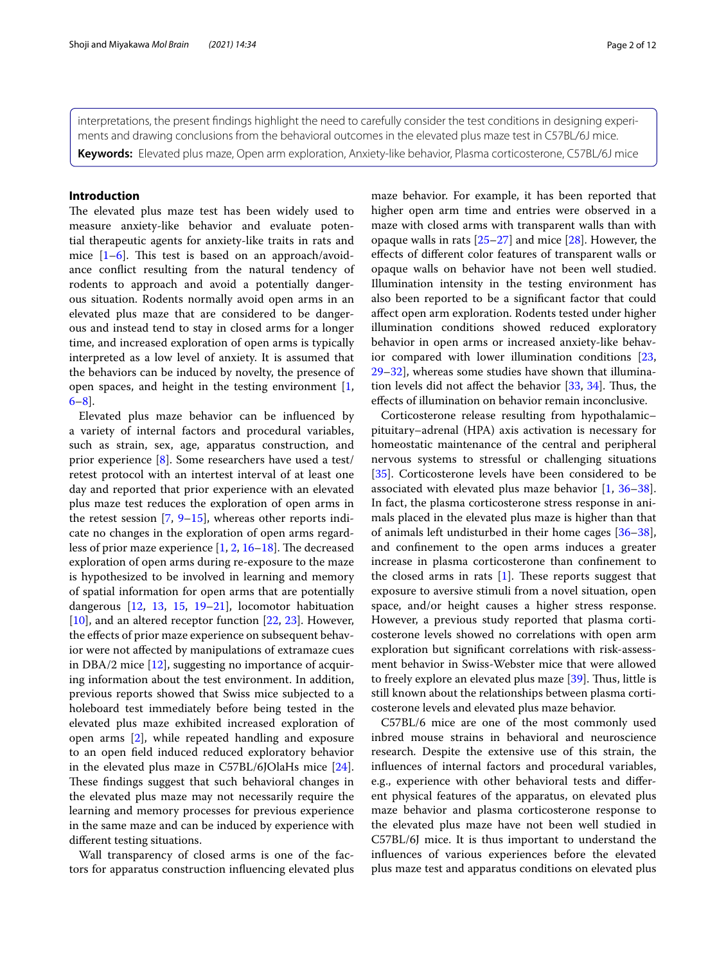interpretations, the present fndings highlight the need to carefully consider the test conditions in designing experiments and drawing conclusions from the behavioral outcomes in the elevated plus maze test in C57BL/6J mice. **Keywords:** Elevated plus maze, Open arm exploration, Anxiety-like behavior, Plasma corticosterone, C57BL/6J mice

# **Introduction**

The elevated plus maze test has been widely used to measure anxiety-like behavior and evaluate potential therapeutic agents for anxiety-like traits in rats and mice  $[1-6]$  $[1-6]$  $[1-6]$ . This test is based on an approach/avoidance confict resulting from the natural tendency of rodents to approach and avoid a potentially dangerous situation. Rodents normally avoid open arms in an elevated plus maze that are considered to be dangerous and instead tend to stay in closed arms for a longer time, and increased exploration of open arms is typically interpreted as a low level of anxiety. It is assumed that the behaviors can be induced by novelty, the presence of open spaces, and height in the testing environment  $[1, 1]$  $[1, 1]$ [6–](#page-10-1)[8](#page-10-2)].

Elevated plus maze behavior can be infuenced by a variety of internal factors and procedural variables, such as strain, sex, age, apparatus construction, and prior experience [[8\]](#page-10-2). Some researchers have used a test/ retest protocol with an intertest interval of at least one day and reported that prior experience with an elevated plus maze test reduces the exploration of open arms in the retest session [\[7](#page-10-3), [9–](#page-10-4)[15\]](#page-10-5), whereas other reports indicate no changes in the exploration of open arms regardless of prior maze experience  $[1, 2, 16–18]$  $[1, 2, 16–18]$  $[1, 2, 16–18]$  $[1, 2, 16–18]$  $[1, 2, 16–18]$  $[1, 2, 16–18]$ . The decreased exploration of open arms during re-exposure to the maze is hypothesized to be involved in learning and memory of spatial information for open arms that are potentially dangerous  $[12, 13, 15, 19-21]$  $[12, 13, 15, 19-21]$  $[12, 13, 15, 19-21]$  $[12, 13, 15, 19-21]$  $[12, 13, 15, 19-21]$  $[12, 13, 15, 19-21]$  $[12, 13, 15, 19-21]$  $[12, 13, 15, 19-21]$  $[12, 13, 15, 19-21]$ , locomotor habituation [[10\]](#page-10-13), and an altered receptor function [[22,](#page-10-14) [23\]](#page-10-15). However, the effects of prior maze experience on subsequent behavior were not afected by manipulations of extramaze cues in DBA/2 mice [\[12](#page-10-9)], suggesting no importance of acquiring information about the test environment. In addition, previous reports showed that Swiss mice subjected to a holeboard test immediately before being tested in the elevated plus maze exhibited increased exploration of open arms [\[2](#page-10-6)], while repeated handling and exposure to an open feld induced reduced exploratory behavior in the elevated plus maze in C57BL/6JOlaHs mice [\[24](#page-10-16)]. These findings suggest that such behavioral changes in the elevated plus maze may not necessarily require the learning and memory processes for previous experience in the same maze and can be induced by experience with diferent testing situations.

Wall transparency of closed arms is one of the factors for apparatus construction infuencing elevated plus maze behavior. For example, it has been reported that higher open arm time and entries were observed in a maze with closed arms with transparent walls than with opaque walls in rats [[25–](#page-10-17)[27\]](#page-10-18) and mice [[28](#page-10-19)]. However, the efects of diferent color features of transparent walls or opaque walls on behavior have not been well studied. Illumination intensity in the testing environment has also been reported to be a signifcant factor that could afect open arm exploration. Rodents tested under higher illumination conditions showed reduced exploratory behavior in open arms or increased anxiety-like behavior compared with lower illumination conditions [[23](#page-10-15), [29](#page-10-20)[–32](#page-10-21)], whereas some studies have shown that illumination levels did not affect the behavior  $[33, 34]$  $[33, 34]$  $[33, 34]$  $[33, 34]$  $[33, 34]$ . Thus, the efects of illumination on behavior remain inconclusive.

Corticosterone release resulting from hypothalamic– pituitary–adrenal (HPA) axis activation is necessary for homeostatic maintenance of the central and peripheral nervous systems to stressful or challenging situations [[35\]](#page-10-24). Corticosterone levels have been considered to be associated with elevated plus maze behavior [[1,](#page-10-0) [36](#page-10-25)[–38](#page-10-26)]. In fact, the plasma corticosterone stress response in animals placed in the elevated plus maze is higher than that of animals left undisturbed in their home cages [[36](#page-10-25)[–38](#page-10-26)], and confnement to the open arms induces a greater increase in plasma corticosterone than confnement to the closed arms in rats  $[1]$  $[1]$  $[1]$ . These reports suggest that exposure to aversive stimuli from a novel situation, open space, and/or height causes a higher stress response. However, a previous study reported that plasma corticosterone levels showed no correlations with open arm exploration but signifcant correlations with risk-assessment behavior in Swiss-Webster mice that were allowed to freely explore an elevated plus maze [\[39](#page-10-27)]. Thus, little is still known about the relationships between plasma corticosterone levels and elevated plus maze behavior.

C57BL/6 mice are one of the most commonly used inbred mouse strains in behavioral and neuroscience research. Despite the extensive use of this strain, the infuences of internal factors and procedural variables, e.g., experience with other behavioral tests and diferent physical features of the apparatus, on elevated plus maze behavior and plasma corticosterone response to the elevated plus maze have not been well studied in C57BL/6J mice. It is thus important to understand the infuences of various experiences before the elevated plus maze test and apparatus conditions on elevated plus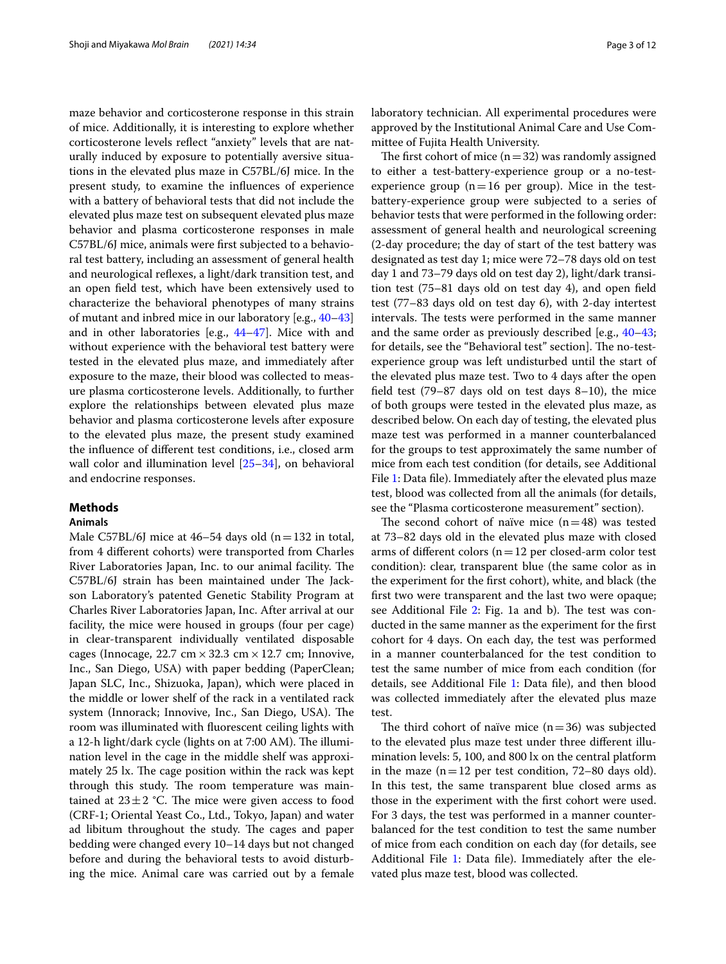maze behavior and corticosterone response in this strain of mice. Additionally, it is interesting to explore whether corticosterone levels refect "anxiety" levels that are naturally induced by exposure to potentially aversive situations in the elevated plus maze in C57BL/6J mice. In the present study, to examine the infuences of experience with a battery of behavioral tests that did not include the elevated plus maze test on subsequent elevated plus maze behavior and plasma corticosterone responses in male C57BL/6J mice, animals were frst subjected to a behavioral test battery, including an assessment of general health and neurological refexes, a light/dark transition test, and an open feld test, which have been extensively used to characterize the behavioral phenotypes of many strains of mutant and inbred mice in our laboratory [e.g., [40–](#page-10-28)[43](#page-11-0)] and in other laboratories [e.g., [44–](#page-11-1)[47\]](#page-11-2). Mice with and without experience with the behavioral test battery were tested in the elevated plus maze, and immediately after exposure to the maze, their blood was collected to measure plasma corticosterone levels. Additionally, to further explore the relationships between elevated plus maze behavior and plasma corticosterone levels after exposure to the elevated plus maze, the present study examined the infuence of diferent test conditions, i.e., closed arm wall color and illumination level [\[25](#page-10-17)[–34\]](#page-10-23), on behavioral and endocrine responses.

# **Methods**

### **Animals**

Male C57BL/6J mice at  $46-54$  days old (n=132 in total, from 4 diferent cohorts) were transported from Charles River Laboratories Japan, Inc. to our animal facility. The C57BL/6J strain has been maintained under The Jackson Laboratory's patented Genetic Stability Program at Charles River Laboratories Japan, Inc. After arrival at our facility, the mice were housed in groups (four per cage) in clear-transparent individually ventilated disposable cages (Innocage, 22.7 cm  $\times$  32.3 cm  $\times$  12.7 cm; Innovive, Inc., San Diego, USA) with paper bedding (PaperClean; Japan SLC, Inc., Shizuoka, Japan), which were placed in the middle or lower shelf of the rack in a ventilated rack system (Innorack; Innovive, Inc., San Diego, USA). The room was illuminated with fuorescent ceiling lights with a 12-h light/dark cycle (lights on at 7:00 AM). The illumination level in the cage in the middle shelf was approximately 25 lx. The cage position within the rack was kept through this study. The room temperature was maintained at  $23 \pm 2$  °C. The mice were given access to food (CRF‐1; Oriental Yeast Co., Ltd., Tokyo, Japan) and water ad libitum throughout the study. The cages and paper bedding were changed every 10–14 days but not changed before and during the behavioral tests to avoid disturbing the mice. Animal care was carried out by a female laboratory technician. All experimental procedures were approved by the Institutional Animal Care and Use Committee of Fujita Health University.

The first cohort of mice  $(n=32)$  was randomly assigned to either a test-battery-experience group or a no-testexperience group ( $n=16$  per group). Mice in the testbattery-experience group were subjected to a series of behavior tests that were performed in the following order: assessment of general health and neurological screening (2-day procedure; the day of start of the test battery was designated as test day 1; mice were 72–78 days old on test day 1 and 73–79 days old on test day 2), light/dark transition test (75–81 days old on test day 4), and open feld test (77–83 days old on test day 6), with 2-day intertest intervals. The tests were performed in the same manner and the same order as previously described [e.g., [40–](#page-10-28)[43](#page-11-0); for details, see the "Behavioral test" section]. The no-testexperience group was left undisturbed until the start of the elevated plus maze test. Two to 4 days after the open feld test (79–87 days old on test days 8–10), the mice of both groups were tested in the elevated plus maze, as described below. On each day of testing, the elevated plus maze test was performed in a manner counterbalanced for the groups to test approximately the same number of mice from each test condition (for details, see Additional File [1](#page-9-0): Data file). Immediately after the elevated plus maze test, blood was collected from all the animals (for details, see the "Plasma corticosterone measurement" section).

The second cohort of naïve mice  $(n=48)$  was tested at 73–82 days old in the elevated plus maze with closed arms of different colors ( $n=12$  per closed-arm color test condition): clear, transparent blue (the same color as in the experiment for the frst cohort), white, and black (the frst two were transparent and the last two were opaque; see Additional File [2](#page-9-1): Fig. 1a and b). The test was conducted in the same manner as the experiment for the frst cohort for 4 days. On each day, the test was performed in a manner counterbalanced for the test condition to test the same number of mice from each condition (for details, see Additional File [1](#page-9-0): Data fle), and then blood was collected immediately after the elevated plus maze test.

The third cohort of naïve mice  $(n=36)$  was subjected to the elevated plus maze test under three diferent illumination levels: 5, 100, and 800 lx on the central platform in the maze  $(n=12$  per test condition, 72–80 days old). In this test, the same transparent blue closed arms as those in the experiment with the frst cohort were used. For 3 days, the test was performed in a manner counterbalanced for the test condition to test the same number of mice from each condition on each day (for details, see Additional File [1](#page-9-0): Data fle). Immediately after the elevated plus maze test, blood was collected.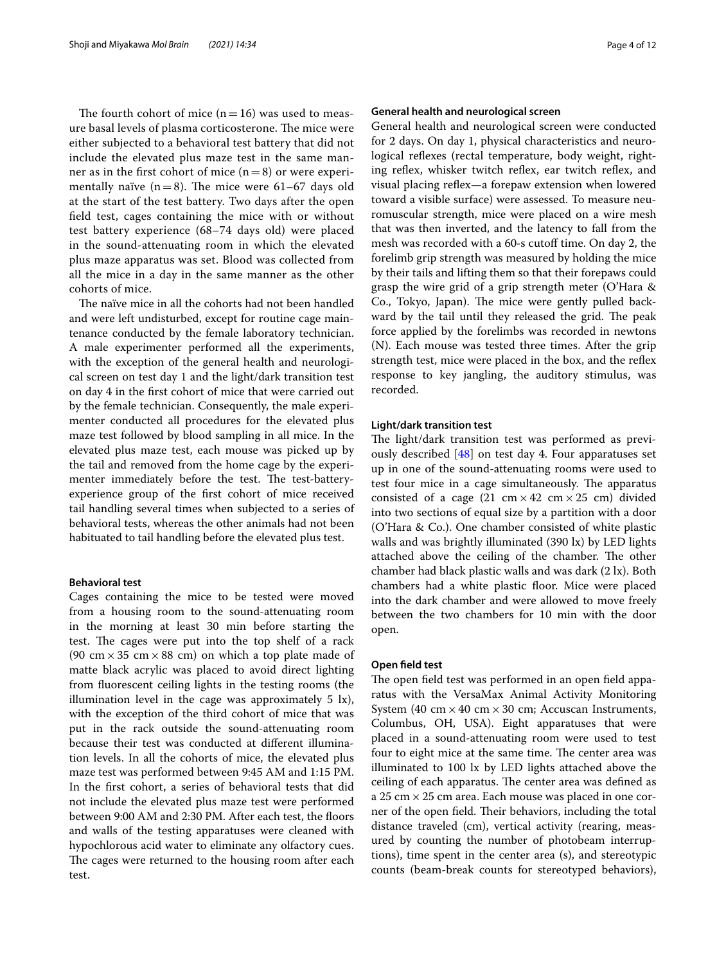The fourth cohort of mice  $(n=16)$  was used to measure basal levels of plasma corticosterone. The mice were either subjected to a behavioral test battery that did not include the elevated plus maze test in the same manner as in the first cohort of mice  $(n=8)$  or were experimentally naïve  $(n=8)$ . The mice were 61–67 days old at the start of the test battery. Two days after the open feld test, cages containing the mice with or without test battery experience (68–74 days old) were placed in the sound-attenuating room in which the elevated plus maze apparatus was set. Blood was collected from all the mice in a day in the same manner as the other cohorts of mice.

The naïve mice in all the cohorts had not been handled and were left undisturbed, except for routine cage maintenance conducted by the female laboratory technician. A male experimenter performed all the experiments, with the exception of the general health and neurological screen on test day 1 and the light/dark transition test on day 4 in the frst cohort of mice that were carried out by the female technician. Consequently, the male experimenter conducted all procedures for the elevated plus maze test followed by blood sampling in all mice. In the elevated plus maze test, each mouse was picked up by the tail and removed from the home cage by the experimenter immediately before the test. The test-batteryexperience group of the frst cohort of mice received tail handling several times when subjected to a series of behavioral tests, whereas the other animals had not been habituated to tail handling before the elevated plus test.

### **Behavioral test**

Cages containing the mice to be tested were moved from a housing room to the sound-attenuating room in the morning at least 30 min before starting the test. The cages were put into the top shelf of a rack (90 cm  $\times$  35 cm  $\times$  88 cm) on which a top plate made of matte black acrylic was placed to avoid direct lighting from fuorescent ceiling lights in the testing rooms (the illumination level in the cage was approximately  $5 \,$ k), with the exception of the third cohort of mice that was put in the rack outside the sound-attenuating room because their test was conducted at diferent illumination levels. In all the cohorts of mice, the elevated plus maze test was performed between 9:45 AM and 1:15 PM. In the frst cohort, a series of behavioral tests that did not include the elevated plus maze test were performed between 9:00 AM and 2:30 PM. After each test, the floors and walls of the testing apparatuses were cleaned with hypochlorous acid water to eliminate any olfactory cues. The cages were returned to the housing room after each test.

## **General health and neurological screen**

General health and neurological screen were conducted for 2 days. On day 1, physical characteristics and neurological reflexes (rectal temperature, body weight, righting refex, whisker twitch refex, ear twitch refex, and visual placing refex—a forepaw extension when lowered toward a visible surface) were assessed. To measure neuromuscular strength, mice were placed on a wire mesh that was then inverted, and the latency to fall from the mesh was recorded with a 60-s cutoff time. On day 2, the forelimb grip strength was measured by holding the mice by their tails and lifting them so that their forepaws could grasp the wire grid of a grip strength meter (O'Hara & Co., Tokyo, Japan). The mice were gently pulled backward by the tail until they released the grid. The peak force applied by the forelimbs was recorded in newtons (N). Each mouse was tested three times. After the grip strength test, mice were placed in the box, and the refex response to key jangling, the auditory stimulus, was recorded.

# **Light/dark transition test**

The light/dark transition test was performed as previously described [[48\]](#page-11-3) on test day 4. Four apparatuses set up in one of the sound-attenuating rooms were used to test four mice in a cage simultaneously. The apparatus consisted of a cage (21  $\text{cm} \times 42 \text{cm} \times 25 \text{cm}$ ) divided into two sections of equal size by a partition with a door (O'Hara & Co.). One chamber consisted of white plastic walls and was brightly illuminated (390 lx) by LED lights attached above the ceiling of the chamber. The other chamber had black plastic walls and was dark (2 lx). Both chambers had a white plastic floor. Mice were placed into the dark chamber and were allowed to move freely between the two chambers for 10 min with the door open.

# **Open feld test**

The open field test was performed in an open field apparatus with the VersaMax Animal Activity Monitoring System (40 cm  $\times$  40 cm  $\times$  30 cm; Accuscan Instruments, Columbus, OH, USA). Eight apparatuses that were placed in a sound-attenuating room were used to test four to eight mice at the same time. The center area was illuminated to 100 lx by LED lights attached above the ceiling of each apparatus. The center area was defined as a 25 cm  $\times$  25 cm area. Each mouse was placed in one corner of the open field. Their behaviors, including the total distance traveled (cm), vertical activity (rearing, measured by counting the number of photobeam interruptions), time spent in the center area (s), and stereotypic counts (beam-break counts for stereotyped behaviors),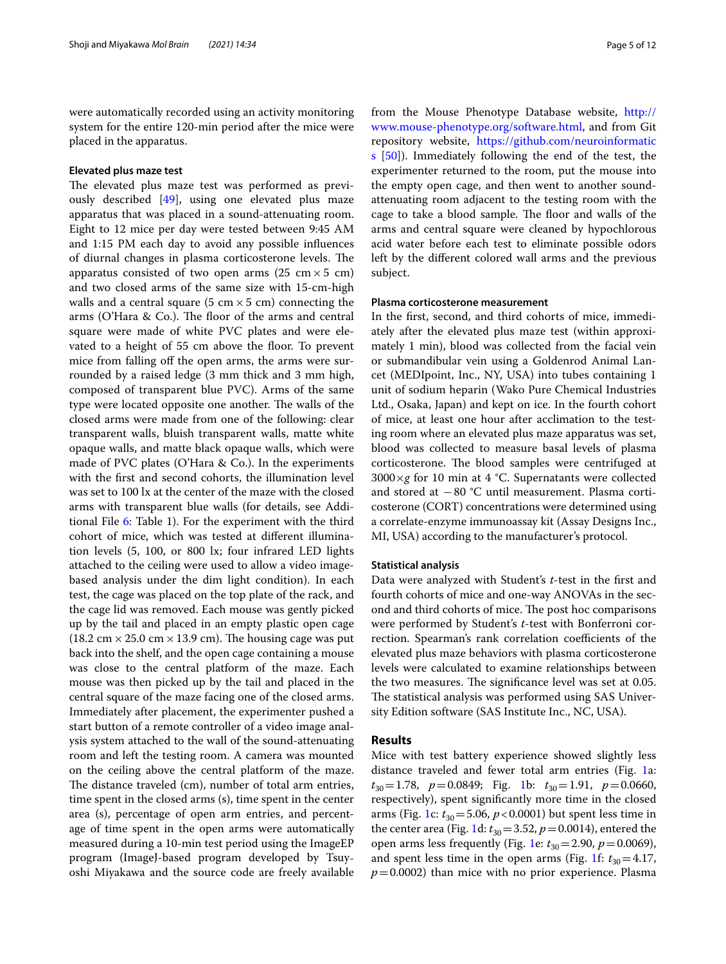were automatically recorded using an activity monitoring system for the entire 120-min period after the mice were placed in the apparatus.

# **Elevated plus maze test**

The elevated plus maze test was performed as previously described [[49\]](#page-11-4), using one elevated plus maze apparatus that was placed in a sound-attenuating room. Eight to 12 mice per day were tested between 9:45 AM and 1:15 PM each day to avoid any possible infuences of diurnal changes in plasma corticosterone levels. The apparatus consisted of two open arms (25  $\text{cm} \times 5 \text{ cm}$ ) and two closed arms of the same size with 15-cm-high walls and a central square (5 cm  $\times$  5 cm) connecting the arms (O'Hara & Co.). The floor of the arms and central square were made of white PVC plates and were elevated to a height of 55 cm above the floor. To prevent mice from falling off the open arms, the arms were surrounded by a raised ledge (3 mm thick and 3 mm high, composed of transparent blue PVC). Arms of the same type were located opposite one another. The walls of the closed arms were made from one of the following: clear transparent walls, bluish transparent walls, matte white opaque walls, and matte black opaque walls, which were made of PVC plates (O'Hara & Co.). In the experiments with the frst and second cohorts, the illumination level was set to 100 lx at the center of the maze with the closed arms with transparent blue walls (for details, see Additional File [6:](#page-9-2) Table 1). For the experiment with the third cohort of mice, which was tested at diferent illumination levels (5, 100, or 800 lx; four infrared LED lights attached to the ceiling were used to allow a video imagebased analysis under the dim light condition). In each test, the cage was placed on the top plate of the rack, and the cage lid was removed. Each mouse was gently picked up by the tail and placed in an empty plastic open cage (18.2 cm  $\times$  25.0 cm  $\times$  13.9 cm). The housing cage was put back into the shelf, and the open cage containing a mouse was close to the central platform of the maze. Each mouse was then picked up by the tail and placed in the central square of the maze facing one of the closed arms. Immediately after placement, the experimenter pushed a start button of a remote controller of a video image analysis system attached to the wall of the sound-attenuating room and left the testing room. A camera was mounted on the ceiling above the central platform of the maze. The distance traveled (cm), number of total arm entries, time spent in the closed arms (s), time spent in the center area (s), percentage of open arm entries, and percentage of time spent in the open arms were automatically measured during a 10-min test period using the ImageEP program (ImageJ-based program developed by Tsuyoshi Miyakawa and the source code are freely available from the Mouse Phenotype Database website, [http://](http://www.mouse-phenotype.org/software.html) [www.mouse-phenotype.org/software.html,](http://www.mouse-phenotype.org/software.html) and from Git repository website, [https://github.com/neuroinformatic](https://github.com/neuroinformatics) [s](https://github.com/neuroinformatics) [\[50\]](#page-11-5)). Immediately following the end of the test, the experimenter returned to the room, put the mouse into the empty open cage, and then went to another soundattenuating room adjacent to the testing room with the cage to take a blood sample. The floor and walls of the arms and central square were cleaned by hypochlorous acid water before each test to eliminate possible odors left by the diferent colored wall arms and the previous subject.

# **Plasma corticosterone measurement**

In the frst, second, and third cohorts of mice, immediately after the elevated plus maze test (within approximately 1 min), blood was collected from the facial vein or submandibular vein using a Goldenrod Animal Lancet (MEDIpoint, Inc., NY, USA) into tubes containing 1 unit of sodium heparin (Wako Pure Chemical Industries Ltd., Osaka, Japan) and kept on ice. In the fourth cohort of mice, at least one hour after acclimation to the testing room where an elevated plus maze apparatus was set, blood was collected to measure basal levels of plasma corticosterone. The blood samples were centrifuged at 3000×*g* for 10 min at 4 °C. Supernatants were collected and stored at −80 °C until measurement. Plasma corticosterone (CORT) concentrations were determined using a correlate-enzyme immunoassay kit (Assay Designs Inc., MI, USA) according to the manufacturer's protocol.

### **Statistical analysis**

Data were analyzed with Student's *t*-test in the frst and fourth cohorts of mice and one-way ANOVAs in the second and third cohorts of mice. The post hoc comparisons were performed by Student's *t*-test with Bonferroni correction. Spearman's rank correlation coefficients of the elevated plus maze behaviors with plasma corticosterone levels were calculated to examine relationships between the two measures. The significance level was set at 0.05. The statistical analysis was performed using SAS University Edition software (SAS Institute Inc., NC, USA).

# **Results**

Mice with test battery experience showed slightly less distance traveled and fewer total arm entries (Fig. [1a](#page-5-0):  $t_{30} = 1.78$ ,  $p = 0.0849$ ; Fig. [1b](#page-5-0):  $t_{30} = 1.91$ ,  $p = 0.0660$ , respectively), spent signifcantly more time in the closed arms (Fig. [1](#page-5-0)c:  $t_{30} = 5.06$ ,  $p < 0.0001$ ) but spent less time in the center area (Fig. [1d](#page-5-0):  $t_{30} = 3.52$ ,  $p = 0.0014$ ), entered the open arms less frequently (Fig. [1](#page-5-0)e:  $t_{30} = 2.90$ ,  $p = 0.0069$ ), and spent less time in the open arms (Fig. [1](#page-5-0)f:  $t_{30} = 4.17$ ,  $p=0.0002$ ) than mice with no prior experience. Plasma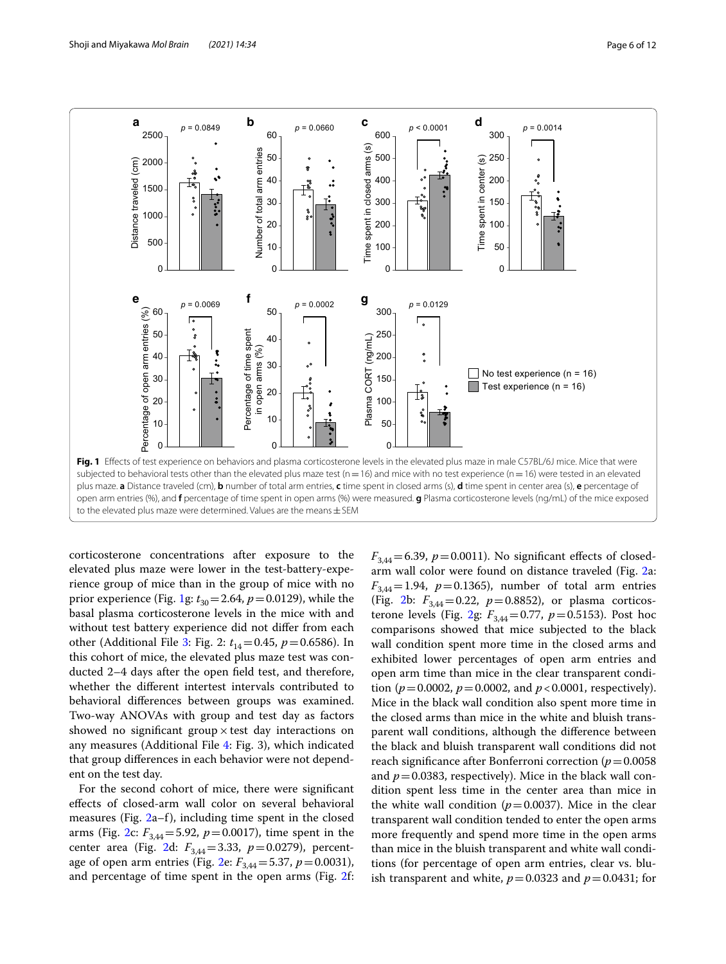

<span id="page-5-0"></span>corticosterone concentrations after exposure to the elevated plus maze were lower in the test-battery-experience group of mice than in the group of mice with no prior experience (Fig. [1g](#page-5-0):  $t_{30} = 2.64$ ,  $p = 0.0129$ ), while the basal plasma corticosterone levels in the mice with and without test battery experience did not difer from each other (Additional File [3:](#page-9-3) Fig. 2:  $t_{14}$ =0.45,  $p$ =0.6586). In this cohort of mice, the elevated plus maze test was conducted 2–4 days after the open feld test, and therefore, whether the diferent intertest intervals contributed to behavioral diferences between groups was examined. Two-way ANOVAs with group and test day as factors showed no significant group  $\times$  test day interactions on any measures (Additional File [4](#page-9-4): Fig. 3), which indicated that group diferences in each behavior were not dependent on the test day.

For the second cohort of mice, there were signifcant efects of closed-arm wall color on several behavioral measures (Fig. [2a](#page-6-0)–f), including time spent in the closed arms (Fig. [2c](#page-6-0):  $F_{3,44}$ =5.92,  $p$ =0.0017), time spent in the center area (Fig. [2d](#page-6-0):  $F_{3,44} = 3.33$ ,  $p = 0.0279$ ), percent-age of open arm entries (Fig. [2e](#page-6-0):  $F_{3,44} = 5.37$ ,  $p = 0.0031$ ), and percentage of time spent in the open arms (Fig. [2f](#page-6-0):  $F_{3,44} = 6.39, p = 0.0011$ ). No significant effects of closedarm wall color were found on distance traveled (Fig. [2a](#page-6-0):  $F_{3,44} = 1.94$ ,  $p = 0.1365$ ), number of total arm entries (Fig. [2b](#page-6-0): *F*3,44=0.22, *p*=0.8852), or plasma corticos-terone levels (Fig. [2g](#page-6-0):  $F_{3,44} = 0.77$ ,  $p = 0.5153$ ). Post hoc comparisons showed that mice subjected to the black wall condition spent more time in the closed arms and exhibited lower percentages of open arm entries and open arm time than mice in the clear transparent condition ( $p = 0.0002$ ,  $p = 0.0002$ , and  $p < 0.0001$ , respectively). Mice in the black wall condition also spent more time in the closed arms than mice in the white and bluish transparent wall conditions, although the diference between the black and bluish transparent wall conditions did not reach significance after Bonferroni correction (*p*=0.0058) and  $p=0.0383$ , respectively). Mice in the black wall condition spent less time in the center area than mice in the white wall condition  $(p=0.0037)$ . Mice in the clear transparent wall condition tended to enter the open arms more frequently and spend more time in the open arms than mice in the bluish transparent and white wall conditions (for percentage of open arm entries, clear vs. bluish transparent and white,  $p = 0.0323$  and  $p = 0.0431$ ; for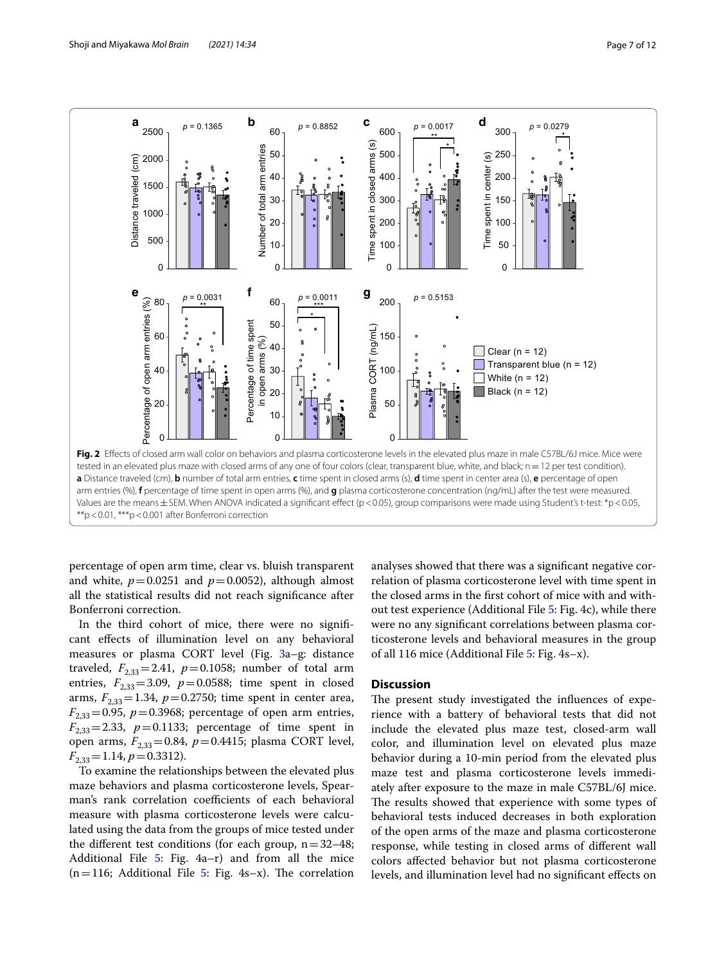

<span id="page-6-0"></span>percentage of open arm time, clear vs. bluish transparent and white,  $p=0.0251$  and  $p=0.0052$ ), although almost all the statistical results did not reach signifcance after Bonferroni correction.

In the third cohort of mice, there were no signifcant efects of illumination level on any behavioral measures or plasma CORT level (Fig. [3](#page-7-0)a–g: distance traveled,  $F_{2,33} = 2.41$ ,  $p = 0.1058$ ; number of total arm entries,  $F_{2,33} = 3.09$ ,  $p = 0.0588$ ; time spent in closed arms,  $F_{2,33} = 1.34$ ,  $p = 0.2750$ ; time spent in center area,  $F_{2,33}=0.95$ ,  $p=0.3968$ ; percentage of open arm entries,  $F_{2,33}=2.33, p=0.1133;$  percentage of time spent in open arms,  $F_{2,33}=0.84$ ,  $p=0.4415$ ; plasma CORT level, *F*<sub>2,33</sub> = 1.14, *p* = 0.3312).

To examine the relationships between the elevated plus maze behaviors and plasma corticosterone levels, Spearman's rank correlation coefficients of each behavioral measure with plasma corticosterone levels were calculated using the data from the groups of mice tested under the different test conditions (for each group,  $n=32-48$ ; Additional File [5:](#page-9-5) Fig. 4a–r) and from all the mice  $(n=116;$  Additional File [5:](#page-9-5) Fig. 4s–x). The correlation analyses showed that there was a signifcant negative correlation of plasma corticosterone level with time spent in the closed arms in the frst cohort of mice with and without test experience (Additional File [5:](#page-9-5) Fig. 4c), while there were no any signifcant correlations between plasma corticosterone levels and behavioral measures in the group of all 116 mice (Additional File [5:](#page-9-5) Fig. 4s–x).

# **Discussion**

The present study investigated the influences of experience with a battery of behavioral tests that did not include the elevated plus maze test, closed-arm wall color, and illumination level on elevated plus maze behavior during a 10-min period from the elevated plus maze test and plasma corticosterone levels immediately after exposure to the maze in male C57BL/6J mice. The results showed that experience with some types of behavioral tests induced decreases in both exploration of the open arms of the maze and plasma corticosterone response, while testing in closed arms of diferent wall colors afected behavior but not plasma corticosterone levels, and illumination level had no signifcant efects on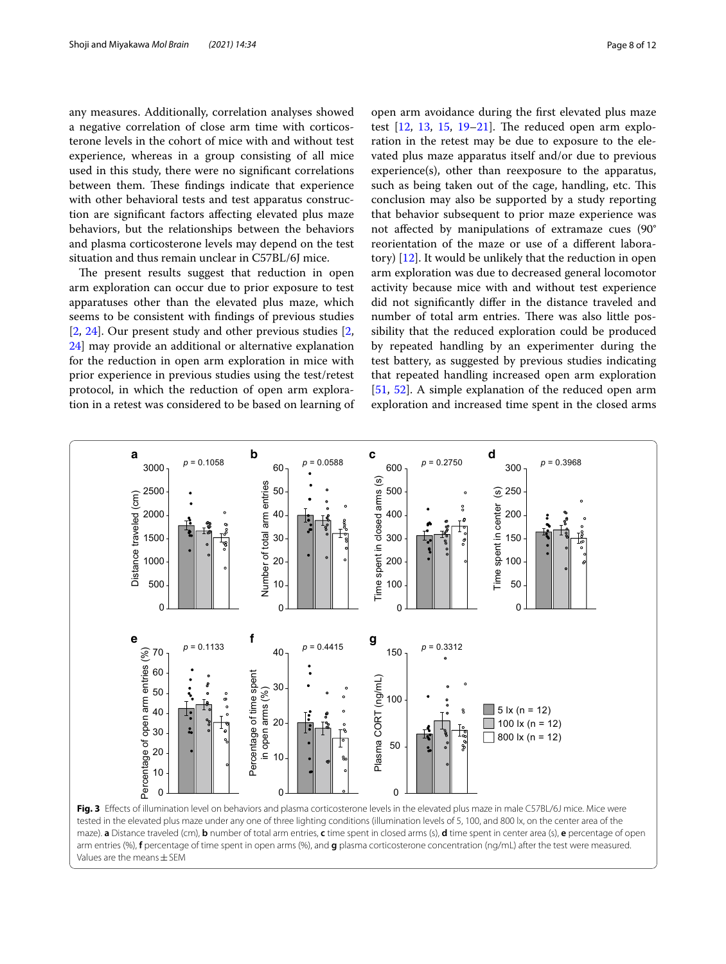any measures. Additionally, correlation analyses showed a negative correlation of close arm time with corticosterone levels in the cohort of mice with and without test experience, whereas in a group consisting of all mice used in this study, there were no signifcant correlations between them. These findings indicate that experience with other behavioral tests and test apparatus construction are signifcant factors afecting elevated plus maze behaviors, but the relationships between the behaviors and plasma corticosterone levels may depend on the test situation and thus remain unclear in C57BL/6J mice.

The present results suggest that reduction in open arm exploration can occur due to prior exposure to test apparatuses other than the elevated plus maze, which seems to be consistent with fndings of previous studies [[2,](#page-10-6) [24\]](#page-10-16). Our present study and other previous studies [\[2](#page-10-6), [24\]](#page-10-16) may provide an additional or alternative explanation for the reduction in open arm exploration in mice with prior experience in previous studies using the test/retest protocol, in which the reduction of open arm exploration in a retest was considered to be based on learning of

open arm avoidance during the frst elevated plus maze test  $[12, 13, 15, 19-21]$  $[12, 13, 15, 19-21]$  $[12, 13, 15, 19-21]$  $[12, 13, 15, 19-21]$  $[12, 13, 15, 19-21]$  $[12, 13, 15, 19-21]$  $[12, 13, 15, 19-21]$  $[12, 13, 15, 19-21]$  $[12, 13, 15, 19-21]$ . The reduced open arm exploration in the retest may be due to exposure to the elevated plus maze apparatus itself and/or due to previous experience(s), other than reexposure to the apparatus, such as being taken out of the cage, handling, etc. This conclusion may also be supported by a study reporting that behavior subsequent to prior maze experience was not afected by manipulations of extramaze cues (90° reorientation of the maze or use of a diferent laboratory) [\[12](#page-10-9)]. It would be unlikely that the reduction in open arm exploration was due to decreased general locomotor activity because mice with and without test experience did not signifcantly difer in the distance traveled and number of total arm entries. There was also little possibility that the reduced exploration could be produced by repeated handling by an experimenter during the test battery, as suggested by previous studies indicating that repeated handling increased open arm exploration [[51,](#page-11-6) [52](#page-11-7)]. A simple explanation of the reduced open arm

exploration and increased time spent in the closed arms



<span id="page-7-0"></span>arm entries (%), **f** percentage of time spent in open arms (%), and **g** plasma corticosterone concentration (ng/mL) after the test were measured. Values are the means  $\pm$  SEM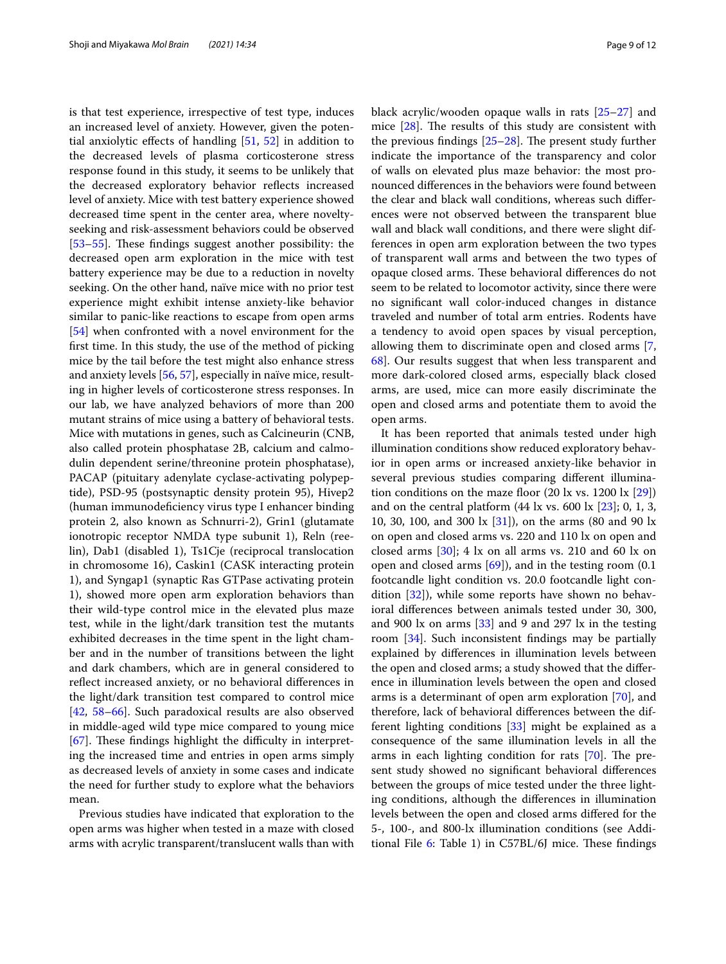is that test experience, irrespective of test type, induces an increased level of anxiety. However, given the potential anxiolytic effects of handling  $[51, 52]$  $[51, 52]$  $[51, 52]$  $[51, 52]$  $[51, 52]$  in addition to the decreased levels of plasma corticosterone stress response found in this study, it seems to be unlikely that the decreased exploratory behavior refects increased level of anxiety. Mice with test battery experience showed decreased time spent in the center area, where noveltyseeking and risk-assessment behaviors could be observed  $[53–55]$  $[53–55]$  $[53–55]$  $[53–55]$ . These findings suggest another possibility: the decreased open arm exploration in the mice with test battery experience may be due to a reduction in novelty seeking. On the other hand, naïve mice with no prior test experience might exhibit intense anxiety-like behavior similar to panic-like reactions to escape from open arms [[54\]](#page-11-10) when confronted with a novel environment for the frst time. In this study, the use of the method of picking mice by the tail before the test might also enhance stress and anxiety levels [\[56](#page-11-11), [57](#page-11-12)], especially in naïve mice, resulting in higher levels of corticosterone stress responses. In our lab, we have analyzed behaviors of more than 200 mutant strains of mice using a battery of behavioral tests. Mice with mutations in genes, such as Calcineurin (CNB, also called protein phosphatase 2B, calcium and calmodulin dependent serine/threonine protein phosphatase), PACAP (pituitary adenylate cyclase-activating polypeptide), PSD-95 (postsynaptic density protein 95), Hivep2 (human immunodefciency virus type I enhancer binding protein 2, also known as Schnurri-2), Grin1 (glutamate ionotropic receptor NMDA type subunit 1), Reln (reelin), Dab1 (disabled 1), Ts1Cje (reciprocal translocation in chromosome 16), Caskin1 (CASK interacting protein 1), and Syngap1 (synaptic Ras GTPase activating protein 1), showed more open arm exploration behaviors than their wild-type control mice in the elevated plus maze test, while in the light/dark transition test the mutants exhibited decreases in the time spent in the light chamber and in the number of transitions between the light and dark chambers, which are in general considered to refect increased anxiety, or no behavioral diferences in the light/dark transition test compared to control mice [[42,](#page-10-29) [58–](#page-11-13)[66](#page-11-14)]. Such paradoxical results are also observed in middle-aged wild type mice compared to young mice  $[67]$  $[67]$ . These findings highlight the difficulty in interpreting the increased time and entries in open arms simply as decreased levels of anxiety in some cases and indicate the need for further study to explore what the behaviors mean.

Previous studies have indicated that exploration to the open arms was higher when tested in a maze with closed arms with acrylic transparent/translucent walls than with black acrylic/wooden opaque walls in rats [[25](#page-10-17)[–27](#page-10-18)] and mice  $[28]$  $[28]$  $[28]$ . The results of this study are consistent with the previous findings  $[25-28]$  $[25-28]$ . The present study further indicate the importance of the transparency and color of walls on elevated plus maze behavior: the most pronounced diferences in the behaviors were found between the clear and black wall conditions, whereas such diferences were not observed between the transparent blue wall and black wall conditions, and there were slight differences in open arm exploration between the two types of transparent wall arms and between the two types of opaque closed arms. These behavioral differences do not seem to be related to locomotor activity, since there were no signifcant wall color-induced changes in distance traveled and number of total arm entries. Rodents have a tendency to avoid open spaces by visual perception, allowing them to discriminate open and closed arms [\[7](#page-10-3), [68\]](#page-11-16). Our results suggest that when less transparent and more dark-colored closed arms, especially black closed arms, are used, mice can more easily discriminate the open and closed arms and potentiate them to avoid the open arms.

It has been reported that animals tested under high illumination conditions show reduced exploratory behavior in open arms or increased anxiety-like behavior in several previous studies comparing diferent illumination conditions on the maze foor (20 lx vs. 1200 lx [\[29](#page-10-20)]) and on the central platform  $(44 \text{ lx vs. } 600 \text{ lx } [23]; 0, 1, 3,$  $(44 \text{ lx vs. } 600 \text{ lx } [23]; 0, 1, 3,$  $(44 \text{ lx vs. } 600 \text{ lx } [23]; 0, 1, 3,$ 10, 30, 100, and 300 lx [[31\]](#page-10-30)), on the arms (80 and 90 lx on open and closed arms vs. 220 and 110 lx on open and closed arms  $[30]$  $[30]$ ; 4  $\alpha$  on all arms vs. 210 and 60  $\alpha$  on open and closed arms [\[69](#page-11-17)]), and in the testing room (0.1 footcandle light condition vs. 20.0 footcandle light condition [\[32\]](#page-10-21)), while some reports have shown no behavioral diferences between animals tested under 30, 300, and 900 lx on arms [[33\]](#page-10-22) and 9 and 297 lx in the testing room [[34](#page-10-23)]. Such inconsistent fndings may be partially explained by diferences in illumination levels between the open and closed arms; a study showed that the diference in illumination levels between the open and closed arms is a determinant of open arm exploration [\[70](#page-11-18)], and therefore, lack of behavioral diferences between the different lighting conditions [[33\]](#page-10-22) might be explained as a consequence of the same illumination levels in all the arms in each lighting condition for rats  $[70]$  $[70]$ . The present study showed no signifcant behavioral diferences between the groups of mice tested under the three lighting conditions, although the diferences in illumination levels between the open and closed arms difered for the 5-, 100-, and 800-lx illumination conditions (see Additional File  $6$ : Table 1) in C57BL/6J mice. These findings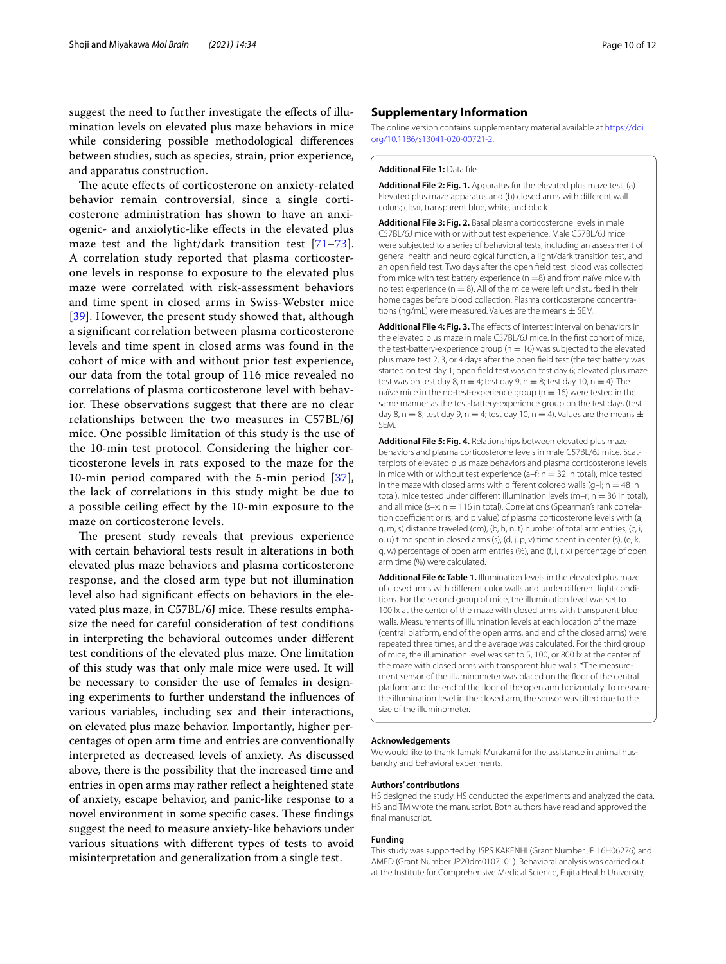suggest the need to further investigate the efects of illumination levels on elevated plus maze behaviors in mice while considering possible methodological diferences between studies, such as species, strain, prior experience, and apparatus construction.

The acute effects of corticosterone on anxiety-related behavior remain controversial, since a single corticosterone administration has shown to have an anxiogenic- and anxiolytic-like efects in the elevated plus maze test and the light/dark transition test [[71–](#page-11-19)[73\]](#page-11-20). A correlation study reported that plasma corticosterone levels in response to exposure to the elevated plus maze were correlated with risk-assessment behaviors and time spent in closed arms in Swiss-Webster mice [[39](#page-10-27)]. However, the present study showed that, although a signifcant correlation between plasma corticosterone levels and time spent in closed arms was found in the cohort of mice with and without prior test experience, our data from the total group of 116 mice revealed no correlations of plasma corticosterone level with behavior. These observations suggest that there are no clear relationships between the two measures in C57BL/6J mice. One possible limitation of this study is the use of the 10-min test protocol. Considering the higher corticosterone levels in rats exposed to the maze for the 10-min period compared with the 5-min period [[37\]](#page-10-32), the lack of correlations in this study might be due to a possible ceiling efect by the 10-min exposure to the maze on corticosterone levels.

The present study reveals that previous experience with certain behavioral tests result in alterations in both elevated plus maze behaviors and plasma corticosterone response, and the closed arm type but not illumination level also had signifcant efects on behaviors in the elevated plus maze, in C57BL/6J mice. These results emphasize the need for careful consideration of test conditions in interpreting the behavioral outcomes under diferent test conditions of the elevated plus maze. One limitation of this study was that only male mice were used. It will be necessary to consider the use of females in designing experiments to further understand the infuences of various variables, including sex and their interactions, on elevated plus maze behavior. Importantly, higher percentages of open arm time and entries are conventionally interpreted as decreased levels of anxiety. As discussed above, there is the possibility that the increased time and entries in open arms may rather refect a heightened state of anxiety, escape behavior, and panic-like response to a novel environment in some specific cases. These findings suggest the need to measure anxiety-like behaviors under various situations with diferent types of tests to avoid misinterpretation and generalization from a single test.

# **Supplementary Information**

The online version contains supplementary material available at [https://doi.](https://doi.org/10.1186/s13041-020-00721-2) [org/10.1186/s13041-020-00721-2](https://doi.org/10.1186/s13041-020-00721-2).

#### <span id="page-9-1"></span><span id="page-9-0"></span>**Additional File 1:** Data fle

**Additional File 2: Fig. 1.** Apparatus for the elevated plus maze test. (a) Elevated plus maze apparatus and (b) closed arms with diferent wall colors; clear, transparent blue, white, and black.

<span id="page-9-3"></span>**Additional File 3: Fig. 2.** Basal plasma corticosterone levels in male C57BL/6J mice with or without test experience. Male C57BL/6J mice were subjected to a series of behavioral tests, including an assessment of general health and neurological function, a light/dark transition test, and an open feld test. Two days after the open feld test, blood was collected from mice with test battery experience ( $n = 8$ ) and from naïve mice with no test experience ( $n = 8$ ). All of the mice were left undisturbed in their home cages before blood collection. Plasma corticosterone concentrations (ng/mL) were measured. Values are the means  $\pm$  SEM.

<span id="page-9-4"></span>Additional File 4: Fig. 3. The effects of intertest interval on behaviors in the elevated plus maze in male C57BL/6J mice. In the frst cohort of mice, the test-battery-experience group ( $n = 16$ ) was subjected to the elevated plus maze test 2, 3, or 4 days after the open feld test (the test battery was started on test day 1; open feld test was on test day 6; elevated plus maze test was on test day 8,  $n = 4$ ; test day 9,  $n = 8$ ; test day 10,  $n = 4$ ). The naïve mice in the no-test-experience group ( $n = 16$ ) were tested in the same manner as the test-battery-experience group on the test days (test day 8, n = 8; test day 9, n = 4; test day 10, n = 4). Values are the means  $\pm$ SEM.

<span id="page-9-5"></span>**Additional File 5: Fig. 4.** Relationships between elevated plus maze behaviors and plasma corticosterone levels in male C57BL/6J mice. Scatterplots of elevated plus maze behaviors and plasma corticosterone levels in mice with or without test experience ( $a-f$ ;  $n = 32$  in total), mice tested in the maze with closed arms with different colored walls (g-l;  $n = 48$  in total), mice tested under different illumination levels (m–r;  $n = 36$  in total). and all mice (s-x;  $n = 116$  in total). Correlations (Spearman's rank correlation coefficient or rs, and p value) of plasma corticosterone levels with (a, g, m, s) distance traveled (cm), (b, h, n, t) number of total arm entries, (c, i, o, u) time spent in closed arms (s), (d, j, p, v) time spent in center (s), (e, k, q, w) percentage of open arm entries (%), and (f, l, r, x) percentage of open arm time (%) were calculated.

<span id="page-9-2"></span>**Additional File 6: Table 1.** Illumination levels in the elevated plus maze of closed arms with diferent color walls and under diferent light conditions. For the second group of mice, the illumination level was set to 100 lx at the center of the maze with closed arms with transparent blue walls. Measurements of illumination levels at each location of the maze (central platform, end of the open arms, and end of the closed arms) were repeated three times, and the average was calculated. For the third group of mice, the illumination level was set to 5, 100, or 800 lx at the center of the maze with closed arms with transparent blue walls. \*The measurement sensor of the illuminometer was placed on the foor of the central platform and the end of the foor of the open arm horizontally. To measure the illumination level in the closed arm, the sensor was tilted due to the size of the illuminometer.

#### **Acknowledgements**

We would like to thank Tamaki Murakami for the assistance in animal husbandry and behavioral experiments.

#### **Authors' contributions**

HS designed the study. HS conducted the experiments and analyzed the data. HS and TM wrote the manuscript. Both authors have read and approved the fnal manuscript.

#### **Funding**

This study was supported by JSPS KAKENHI (Grant Number JP 16H06276) and AMED (Grant Number JP20dm0107101). Behavioral analysis was carried out at the Institute for Comprehensive Medical Science, Fujita Health University,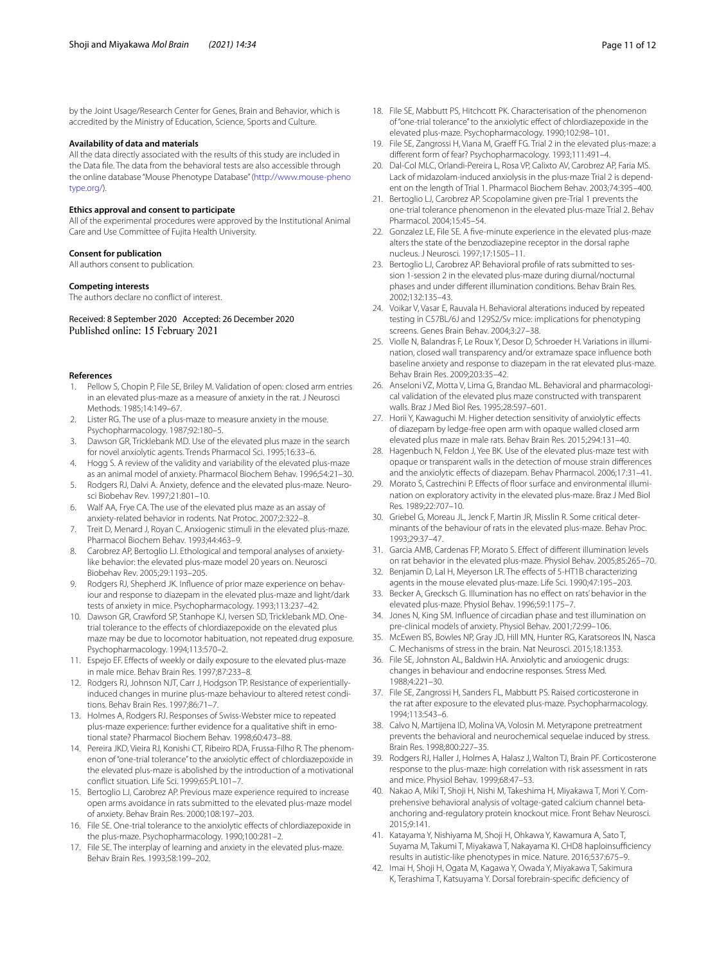by the Joint Usage/Research Center for Genes, Brain and Behavior, which is accredited by the Ministry of Education, Science, Sports and Culture.

## **Availability of data and materials**

All the data directly associated with the results of this study are included in the Data fle. The data from the behavioral tests are also accessible through the online database "Mouse Phenotype Database" [\(http://www.mouse-pheno](http://www.mouse-phenotype.org/) [type.org/](http://www.mouse-phenotype.org/)).

### **Ethics approval and consent to participate**

All of the experimental procedures were approved by the Institutional Animal Care and Use Committee of Fujita Health University.

### **Consent for publication**

All authors consent to publication.

### **Competing interests**

The authors declare no confict of interest.

Received: 8 September 2020 Accepted: 26 December 2020

#### **References**

- <span id="page-10-0"></span>1. Pellow S, Chopin P, File SE, Briley M. Validation of open: closed arm entries in an elevated plus-maze as a measure of anxiety in the rat. J Neurosci Methods. 1985;14:149–67.
- <span id="page-10-6"></span>2. Lister RG. The use of a plus-maze to measure anxiety in the mouse. Psychopharmacology. 1987;92:180–5.
- 3. Dawson GR, Tricklebank MD. Use of the elevated plus maze in the search for novel anxiolytic agents. Trends Pharmacol Sci. 1995;16:33–6.
- 4. Hogg S. A review of the validity and variability of the elevated plus-maze as an animal model of anxiety. Pharmacol Biochem Behav. 1996;54:21–30.
- 5. Rodgers RJ, Dalvi A. Anxiety, defence and the elevated plus-maze. Neurosci Biobehav Rev. 1997;21:801–10.
- <span id="page-10-1"></span>6. Walf AA, Frye CA. The use of the elevated plus maze as an assay of anxiety-related behavior in rodents. Nat Protoc. 2007;2:322–8.
- <span id="page-10-3"></span>7. Treit D, Menard J, Royan C. Anxiogenic stimuli in the elevated plus-maze. Pharmacol Biochem Behav. 1993;44:463–9.
- <span id="page-10-2"></span>8. Carobrez AP, Bertoglio LJ. Ethological and temporal analyses of anxietylike behavior: the elevated plus-maze model 20 years on. Neurosci Biobehav Rev. 2005;29:1193–205.
- <span id="page-10-4"></span>9. Rodgers RJ, Shepherd JK. Infuence of prior maze experience on behaviour and response to diazepam in the elevated plus-maze and light/dark tests of anxiety in mice. Psychopharmacology. 1993;113:237–42.
- <span id="page-10-13"></span>10. Dawson GR, Crawford SP, Stanhope KJ, Iversen SD, Tricklebank MD. Onetrial tolerance to the effects of chlordiazepoxide on the elevated plus maze may be due to locomotor habituation, not repeated drug exposure. Psychopharmacology. 1994;113:570–2.
- 11. Espejo EF. Efects of weekly or daily exposure to the elevated plus-maze in male mice. Behav Brain Res. 1997;87:233–8.
- <span id="page-10-9"></span>12. Rodgers RJ, Johnson NJT, Carr J, Hodgson TP. Resistance of experientiallyinduced changes in murine plus-maze behaviour to altered retest conditions. Behav Brain Res. 1997;86:71–7.
- <span id="page-10-10"></span>13. Holmes A, Rodgers RJ. Responses of Swiss-Webster mice to repeated plus-maze experience: further evidence for a qualitative shift in emotional state? Pharmacol Biochem Behav. 1998;60:473–88.
- 14. Pereira JKD, Vieira RJ, Konishi CT, Ribeiro RDA, Frussa-Filho R. The phenomenon of "one-trial tolerance" to the anxiolytic effect of chlordiazepoxide in the elevated plus-maze is abolished by the introduction of a motivational confict situation. Life Sci. 1999;65:PL101–7.
- <span id="page-10-5"></span>15. Bertoglio LJ, Carobrez AP. Previous maze experience required to increase open arms avoidance in rats submitted to the elevated plus-maze model of anxiety. Behav Brain Res. 2000;108:197–203.
- <span id="page-10-7"></span>16. File SE. One-trial tolerance to the anxiolytic efects of chlordiazepoxide in the plus-maze. Psychopharmacology. 1990;100:281–2.
- 17. File SE. The interplay of learning and anxiety in the elevated plus-maze. Behav Brain Res. 1993;58:199–202.
- <span id="page-10-8"></span>18. File SE, Mabbutt PS, Hitchcott PK. Characterisation of the phenomenon of "one-trial tolerance" to the anxiolytic efect of chlordiazepoxide in the elevated plus-maze. Psychopharmacology. 1990;102:98–101.
- <span id="page-10-11"></span>19. File SE, Zangrossi H, Viana M, Graef FG. Trial 2 in the elevated plus-maze: a diferent form of fear? Psychopharmacology. 1993;111:491–4.
- 20. Dal-Col MLC, Orlandi-Pereira L, Rosa VP, Calixto AV, Carobrez AP, Faria MS. Lack of midazolam-induced anxiolysis in the plus-maze Trial 2 is dependent on the length of Trial 1. Pharmacol Biochem Behav. 2003;74:395–400.
- <span id="page-10-12"></span>21. Bertoglio LJ, Carobrez AP. Scopolamine given pre-Trial 1 prevents the one-trial tolerance phenomenon in the elevated plus-maze Trial 2. Behav Pharmacol. 2004;15:45–54.
- <span id="page-10-14"></span>22. Gonzalez LE, File SE. A fve-minute experience in the elevated plus-maze alters the state of the benzodiazepine receptor in the dorsal raphe nucleus. J Neurosci. 1997;17:1505–11.
- <span id="page-10-15"></span>23. Bertoglio LJ, Carobrez AP. Behavioral profile of rats submitted to session 1-session 2 in the elevated plus-maze during diurnal/nocturnal phases and under diferent illumination conditions. Behav Brain Res. 2002;132:135–43.
- <span id="page-10-16"></span>24. Voikar V, Vasar E, Rauvala H. Behavioral alterations induced by repeated testing in C57BL/6J and 129S2/Sv mice: implications for phenotyping screens. Genes Brain Behav. 2004;3:27–38.
- <span id="page-10-17"></span>25. Violle N, Balandras F, Le Roux Y, Desor D, Schroeder H. Variations in illumination, closed wall transparency and/or extramaze space infuence both baseline anxiety and response to diazepam in the rat elevated plus-maze. Behav Brain Res. 2009;203:35–42.
- 26. Anseloni VZ, Motta V, Lima G, Brandao ML. Behavioral and pharmacological validation of the elevated plus maze constructed with transparent walls. Braz J Med Biol Res. 1995;28:597–601.
- <span id="page-10-18"></span>27. Horii Y, Kawaguchi M. Higher detection sensitivity of anxiolytic efects of diazepam by ledge-free open arm with opaque walled closed arm elevated plus maze in male rats. Behav Brain Res. 2015;294:131–40.
- <span id="page-10-19"></span>28. Hagenbuch N, Feldon J, Yee BK. Use of the elevated plus-maze test with opaque or transparent walls in the detection of mouse strain diferences and the anxiolytic efects of diazepam. Behav Pharmacol. 2006;17:31–41.
- <span id="page-10-20"></span>29. Morato S, Castrechini P. Effects of floor surface and environmental illumination on exploratory activity in the elevated plus-maze. Braz J Med Biol Res. 1989;22:707–10.
- <span id="page-10-31"></span>30. Griebel G, Moreau JL, Jenck F, Martin JR, Misslin R. Some critical determinants of the behaviour of rats in the elevated plus-maze. Behav Proc. 1993;29:37–47.
- <span id="page-10-30"></span>31. Garcia AMB, Cardenas FP, Morato S. Efect of diferent illumination levels on rat behavior in the elevated plus-maze. Physiol Behav. 2005;85:265–70.
- <span id="page-10-21"></span>32. Benjamin D, Lal H, Meyerson LR. The effects of 5-HT1B characterizing agents in the mouse elevated plus-maze. Life Sci. 1990;47:195–203.
- <span id="page-10-22"></span>33. Becker A, Grecksch G. Illumination has no efect on rats' behavior in the elevated plus-maze. Physiol Behav. 1996;59:1175–7.
- <span id="page-10-23"></span>34. Jones N, King SM. Infuence of circadian phase and test illumination on pre-clinical models of anxiety. Physiol Behav. 2001;72:99–106.
- <span id="page-10-24"></span>35. McEwen BS, Bowles NP, Gray JD, Hill MN, Hunter RG, Karatsoreos IN, Nasca C. Mechanisms of stress in the brain. Nat Neurosci. 2015;18:1353.
- <span id="page-10-25"></span>36. File SE, Johnston AL, Baldwin HA. Anxiolytic and anxiogenic drugs: changes in behaviour and endocrine responses. Stress Med. 1988;4:221–30.
- <span id="page-10-32"></span>37. File SE, Zangrossi H, Sanders FL, Mabbutt PS. Raised corticosterone in the rat after exposure to the elevated plus-maze. Psychopharmacology. 1994;113:543–6.
- <span id="page-10-26"></span>38. Calvo N, Martijena ID, Molina VA, Volosin M. Metyrapone pretreatment prevents the behavioral and neurochemical sequelae induced by stress. Brain Res. 1998;800:227–35.
- <span id="page-10-27"></span>39. Rodgers RJ, Haller J, Holmes A, Halasz J, Walton TJ, Brain PF. Corticosterone response to the plus-maze: high correlation with risk assessment in rats and mice. Physiol Behav. 1999;68:47–53.
- <span id="page-10-28"></span>40. Nakao A, Miki T, Shoji H, Nishi M, Takeshima H, Miyakawa T, Mori Y. Comprehensive behavioral analysis of voltage-gated calcium channel betaanchoring and-regulatory protein knockout mice. Front Behav Neurosci. 2015;9:141.
- 41. Katayama Y, Nishiyama M, Shoji H, Ohkawa Y, Kawamura A, Sato T, Suyama M, Takumi T, Miyakawa T, Nakayama KI. CHD8 haploinsufficiency results in autistic-like phenotypes in mice. Nature. 2016;537:675–9.
- <span id="page-10-29"></span>42. Imai H, Shoji H, Ogata M, Kagawa Y, Owada Y, Miyakawa T, Sakimura K, Terashima T, Katsuyama Y. Dorsal forebrain-specifc defciency of